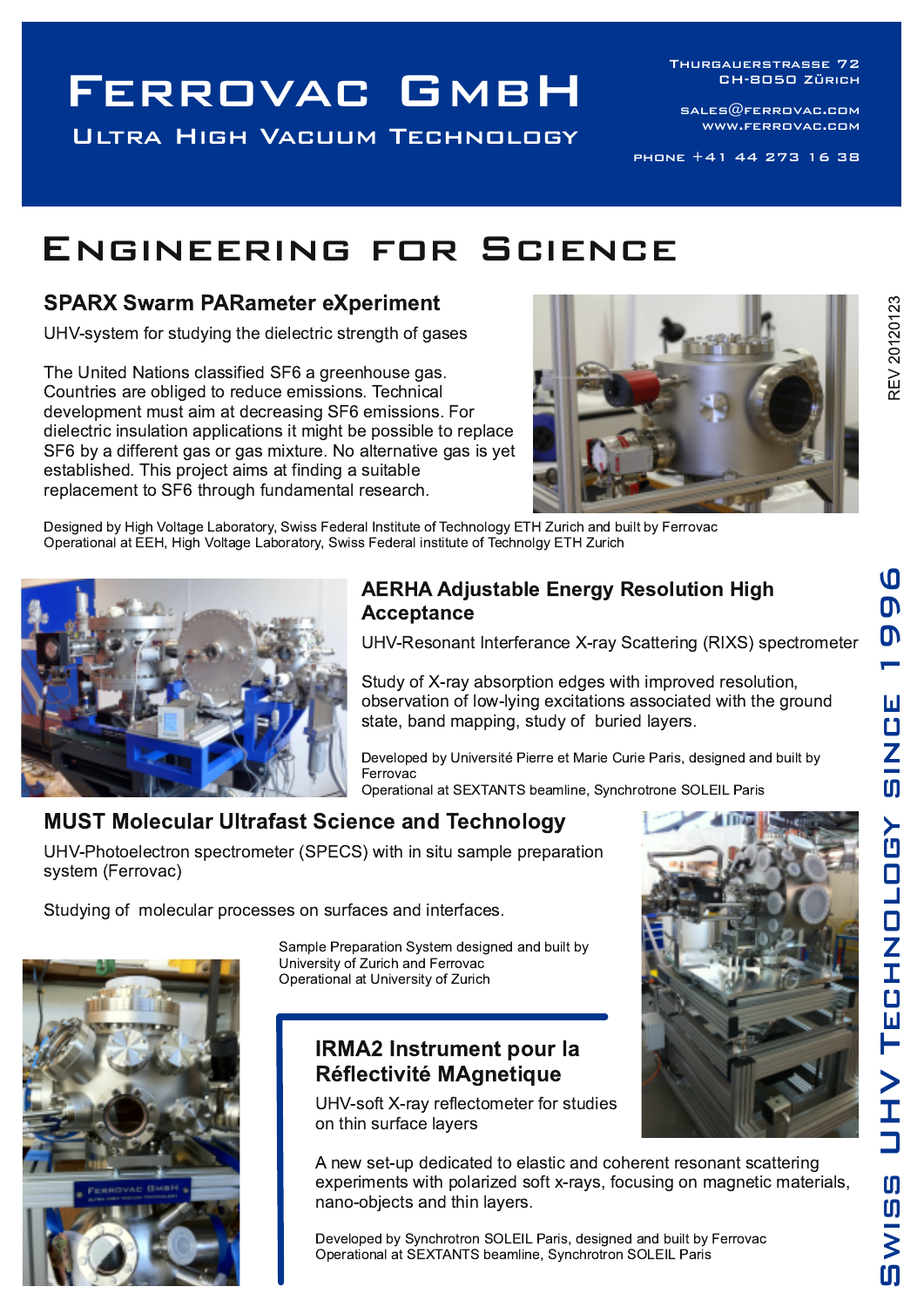## FERROVAC GMBH

**ULTRA HIGH VACUUM TECHNOLOGY** 

THURGAUERSTRASSE 72 **CH-8050 ZÜRICH** 

SALES@FERROVAC.COM WWW.FERROVAC.COM

PHONE +41 44 273 16 38

### ENGINEERING FOR SCIENCE

#### **SPARX Swarm PARameter eXperiment**

UHV-system for studying the dielectric strength of gases

The United Nations classified SF6 a greenhouse gas. Countries are obliged to reduce emissions. Technical development must aim at decreasing SF6 emissions. For dielectric insulation applications it might be possible to replace SF6 by a different gas or gas mixture. No alternative gas is yet established. This project aims at finding a suitable replacement to SF6 through fundamental research.



Designed by High Voltage Laboratory, Swiss Federal Institute of Technology ETH Zurich and built by Ferrovac Operational at EEH, High Voltage Laboratory, Swiss Federal institute of Technolgy ETH Zurich



#### **AERHA Adjustable Energy Resolution High Acceptance**

UHV-Resonant Interferance X-ray Scattering (RIXS) spectrometer

Study of X-ray absorption edges with improved resolution, observation of low-lying excitations associated with the ground state, band mapping, study of buried layers.

Developed by Université Pierre et Marie Curie Paris, designed and built by Ferrovac

Operational at SEXTANTS beamline, Synchrotrone SOLEIL Paris

#### **MUST Molecular Ultrafast Science and Technology**

UHV-Photoelectron spectrometer (SPECS) with in situ sample preparation system (Ferrovac)

Studying of molecular processes on surfaces and interfaces.

Sample Preparation System designed and built by University of Zurich and Ferrovac Operational at University of Zurich

#### **IRMA2 Instrument pour la Réflectivité MAgnetique**

UHV-soft X-ray reflectometer for studies on thin surface layers



A new set-up dedicated to elastic and coherent resonant scattering experiments with polarized soft x-rays, focusing on magnetic materials, nano-objects and thin lavers.

Developed by Synchrotron SOLEIL Paris, designed and built by Ferrovac Operational at SEXTANTS beamline, Synchrotron SOLEIL Paris